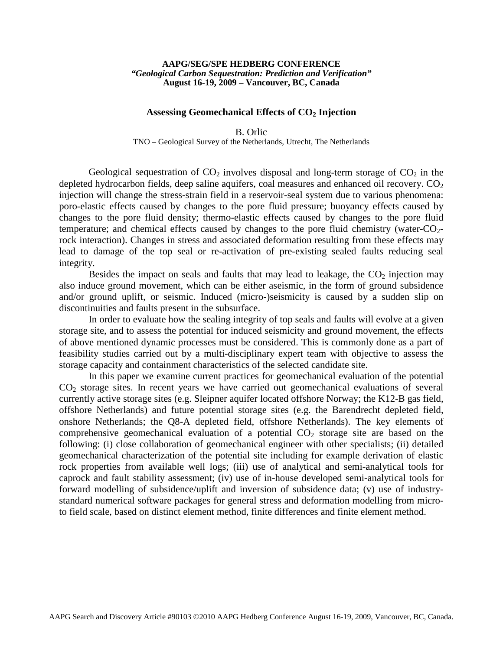## **AAPG/SEG/SPE HEDBERG CONFERENCE** *"Geological Carbon Sequestration: Prediction and Verification"* **August 16-19, 2009 – Vancouver, BC, Canada**

## **Assessing Geomechanical Effects of CO2 Injection**

B. Orlic TNO – Geological Survey of the Netherlands, Utrecht, The Netherlands

Geological sequestration of  $CO<sub>2</sub>$  involves disposal and long-term storage of  $CO<sub>2</sub>$  in the depleted hydrocarbon fields, deep saline aquifers, coal measures and enhanced oil recovery.  $CO<sub>2</sub>$ injection will change the stress-strain field in a reservoir-seal system due to various phenomena: poro-elastic effects caused by changes to the pore fluid pressure; buoyancy effects caused by changes to the pore fluid density; thermo-elastic effects caused by changes to the pore fluid temperature; and chemical effects caused by changes to the pore fluid chemistry (water- $CO<sub>2</sub>$ rock interaction). Changes in stress and associated deformation resulting from these effects may lead to damage of the top seal or re-activation of pre-existing sealed faults reducing seal integrity.

Besides the impact on seals and faults that may lead to leakage, the  $CO<sub>2</sub>$  injection may also induce ground movement, which can be either aseismic, in the form of ground subsidence and/or ground uplift, or seismic. Induced (micro-)seismicity is caused by a sudden slip on discontinuities and faults present in the subsurface.

In order to evaluate how the sealing integrity of top seals and faults will evolve at a given storage site, and to assess the potential for induced seismicity and ground movement, the effects of above mentioned dynamic processes must be considered. This is commonly done as a part of feasibility studies carried out by a multi-disciplinary expert team with objective to assess the storage capacity and containment characteristics of the selected candidate site.

In this paper we examine current practices for geomechanical evaluation of the potential  $CO<sub>2</sub>$  storage sites. In recent years we have carried out geomechanical evaluations of several currently active storage sites (e.g. Sleipner aquifer located offshore Norway; the K12-B gas field, offshore Netherlands) and future potential storage sites (e.g. the Barendrecht depleted field, onshore Netherlands; the Q8-A depleted field, offshore Netherlands). The key elements of comprehensive geomechanical evaluation of a potential  $CO<sub>2</sub>$  storage site are based on the following: (i) close collaboration of geomechanical engineer with other specialists; (ii) detailed geomechanical characterization of the potential site including for example derivation of elastic rock properties from available well logs; (iii) use of analytical and semi-analytical tools for caprock and fault stability assessment; (iv) use of in-house developed semi-analytical tools for forward modelling of subsidence/uplift and inversion of subsidence data; (v) use of industrystandard numerical software packages for general stress and deformation modelling from microto field scale, based on distinct element method, finite differences and finite element method.